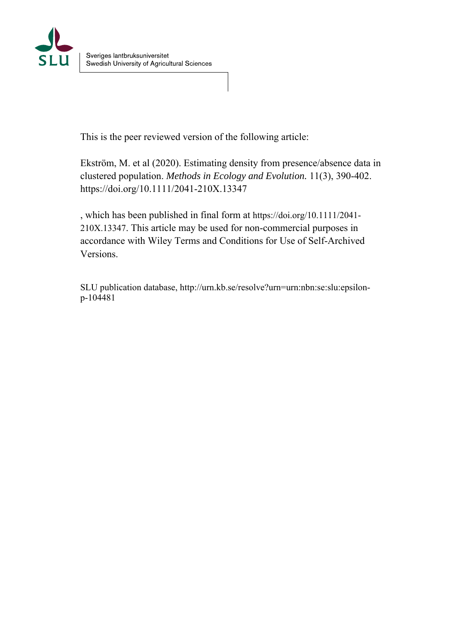

This is the peer reviewed version of the following article:

Ekström, M. et al (2020). Estimating density from presence/absence data in clustered population. *Methods in Ecology and Evolution.* 11(3), 390-402. https://doi.org/10.1111/2041-210X.13347

, which has been published in final form at https://doi.org/10.1111/2041- 210X.13347. This article may be used for non-commercial purposes in accordance with Wiley Terms and Conditions for Use of Self-Archived Versions.

SLU publication database, http://urn.kb.se/resolve?urn=urn:nbn:se:slu:epsilonp-104481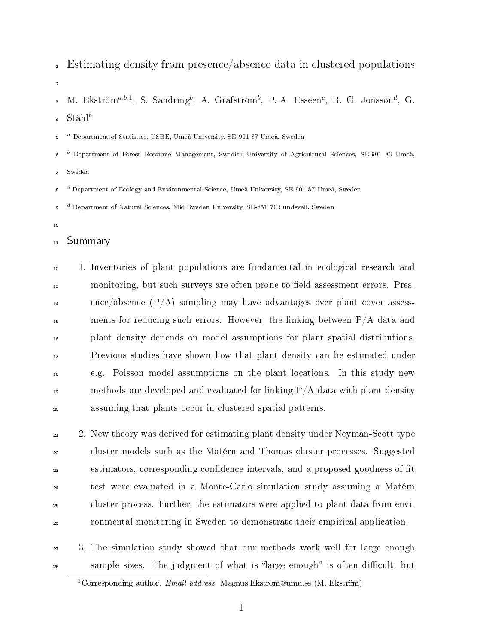- Estimating density from presence/absence data in clustered populations
- 3 M. Ekström $^{a,b,1}$ , S. Sandring $^b$ , A. Grafström $^b$ , P.-A. Esseen $^c$ , B. G. Jonsson $^d$ , G.  $St\aa h l^b$

 <sup>a</sup> Department of Statistics, USBE, Umeå University, SE-901 87 Umeå, Sweden

- $<sup>b</sup>$  Department of Forest Resource Management, Swedish University of Agricultural Sciences, SE-901 83 Umeå,</sup>
- Sweden

 <sup>c</sup> Department of Ecology and Environmental Science, Umeå University, SE-901 87 Umeå, Sweden

 <sup>d</sup> Department of Natural Sciences, Mid Sweden University, SE-851 70 Sundsvall, Sweden

### 11 Summary

 1. Inventories of plant populations are fundamental in ecological research and 13 monitoring, but such surveys are often prone to field assessment errors. Pres- ence/absence  $(P/A)$  sampling may have advantages over plant cover assess-15 ments for reducing such errors. However, the linking between  $P/A$  data and plant density depends on model assumptions for plant spatial distributions. Previous studies have shown how that plant density can be estimated under e.g. Poisson model assumptions on the plant locations. In this study new 19 methods are developed and evaluated for linking  $P/A$  data with plant density assuming that plants occur in clustered spatial patterns.

 2. New theory was derived for estimating plant density under Neyman-Scott type cluster models such as the Matérn and Thomas cluster processes. Suggested <sup>23</sup> estimators, corresponding confidence intervals, and a proposed goodness of fit test were evaluated in a Monte-Carlo simulation study assuming a Matérn cluster process. Further, the estimators were applied to plant data from envi-ronmental monitoring in Sweden to demonstrate their empirical application.

 3. The simulation study showed that our methods work well for large enough <sup>28</sup> sample sizes. The judgment of what is "large enough" is often difficult, but

<sup>&</sup>lt;sup>1</sup>Corresponding author. Email address: Magnus.Ekstrom@umu.se (M. Ekström)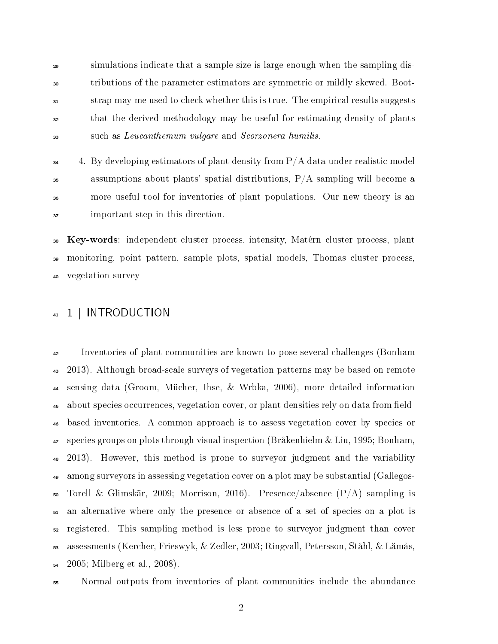simulations indicate that a sample size is large enough when the sampling dis- tributions of the parameter estimators are symmetric or mildly skewed. Boot- strap may me used to check whether this is true. The empirical results suggests that the derived methodology may be useful for estimating density of plants such as Leucanthemum vulgare and Scorzonera humilis.

 $\frac{4}{34}$  4. By developing estimators of plant density from P/A data under realistic model  $\frac{35}{35}$  assumptions about plants' spatial distributions, P/A sampling will become a more useful tool for inventories of plant populations. Our new theory is an important step in this direction.

 Key-words: independent cluster process, intensity, Matérn cluster process, plant <sup>39</sup> monitoring, point pattern, sample plots, spatial models, Thomas cluster process, vegetation survey

## 41 1 | INTRODUCTION

 Inventories of plant communities are known to pose several challenges (Bonham 2013). Although broad-scale surveys of vegetation patterns may be based on remote sensing data (Groom, Mücher, Ihse, & Wrbka, 2006), more detailed information <sup>45</sup> about species occurrences, vegetation cover, or plant densities rely on data from field- based inventories. A common approach is to assess vegetation cover by species or species groups on plots through visual inspection (Bråkenhielm & Liu, 1995; Bonham, 2013). However, this method is prone to surveyor judgment and the variability among surveyors in assessing vegetation cover on a plot may be substantial (Gallegos- $\overline{\text{50}}$  Torell & Glimskär, 2009; Morrison, 2016). Presence/absence  $(P/A)$  sampling is an alternative where only the presence or absence of a set of species on a plot is registered. This sampling method is less prone to surveyor judgment than cover assessments (Kercher, Frieswyk, & Zedler, 2003; Ringvall, Petersson, Ståhl, & Lämås, 2005; Milberg et al., 2008).

Normal outputs from inventories of plant communities include the abundance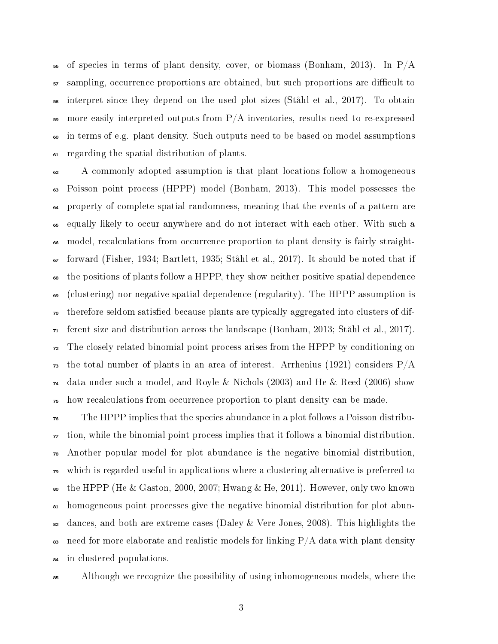$_{56}$  of species in terms of plant density, cover, or biomass (Bonham, 2013). In P/A  $\frac{5}{2}$  sampling, occurrence proportions are obtained, but such proportions are difficult to interpret since they depend on the used plot sizes (Ståhl et al., 2017). To obtain 59 more easily interpreted outputs from  $P/A$  inventories, results need to re-expressed in terms of e.g. plant density. Such outputs need to be based on model assumptions regarding the spatial distribution of plants.

 A commonly adopted assumption is that plant locations follow a homogeneous Poisson point process (HPPP) model (Bonham, 2013). This model possesses the property of complete spatial randomness, meaning that the events of a pattern are equally likely to occur anywhere and do not interact with each other. With such a model, recalculations from occurrence proportion to plant density is fairly straight- forward (Fisher, 1934; Bartlett, 1935; Ståhl et al., 2017). It should be noted that if the positions of plants follow a HPPP, they show neither positive spatial dependence (clustering) nor negative spatial dependence (regularity). The HPPP assumption is <sub>70</sub> therefore seldom satisfied because plants are typically aggregated into clusters of dif- ferent size and distribution across the landscape (Bonham, 2013; Ståhl et al., 2017). The closely related binomial point process arises from the HPPP by conditioning on  $_{73}$  the total number of plants in an area of interest. Arrhenius (1921) considers  $P/A$  data under such a model, and Royle & Nichols (2003) and He & Reed (2006) show how recalculations from occurrence proportion to plant density can be made.

 The HPPP implies that the species abundance in a plot follows a Poisson distribu- tion, while the binomial point process implies that it follows a binomial distribution. Another popular model for plot abundance is the negative binomial distribution, which is regarded useful in applications where a clustering alternative is preferred to 80 the HPPP (He & Gaston, 2000, 2007; Hwang & He, 2011). However, only two known homogeneous point processes give the negative binomial distribution for plot abun- $\frac{1}{2}$  dances, and both are extreme cases (Daley & Vere-Jones, 2008). This highlights the 83 need for more elaborate and realistic models for linking  $P/A$  data with plant density in clustered populations.

Although we recognize the possibility of using inhomogeneous models, where the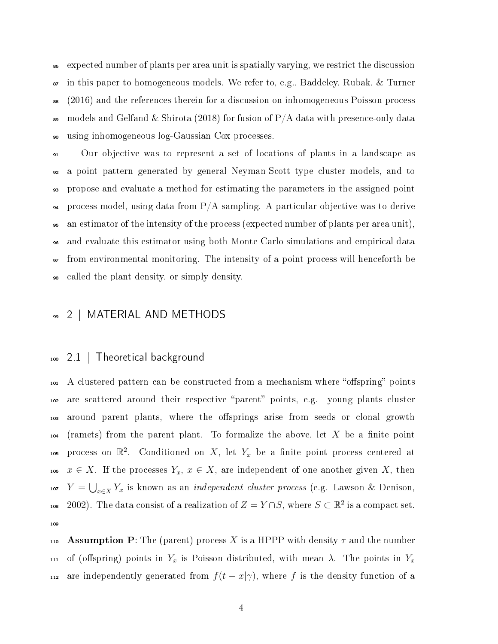<sup>86</sup> expected number of plants per area unit is spatially varying, we restrict the discussion  $\bullet$  in this paper to homogeneous models. We refer to, e.g., Baddeley, Rubak, & Turner 88 (2016) and the references therein for a discussion on inhomogeneous Poisson process 89 models and Gelfand & Shirota (2018) for fusion of P/A data with presence-only data <sup>90</sup> using inhomogeneous log-Gaussian Cox processes.

 Our objective was to represent a set of locations of plants in a landscape as a point pattern generated by general Neyman-Scott type cluster models, and to propose and evaluate a method for estimating the parameters in the assigned point  $\mu$  process model, using data from P/A sampling. A particular objective was to derive an estimator of the intensity of the process (expected number of plants per area unit), and evaluate this estimator using both Monte Carlo simulations and empirical data from environmental monitoring. The intensity of a point process will henceforth be called the plant density, or simply density.

### <sup>99</sup> 2 | MATERIAL AND METHODS

#### <sup>100</sup> 2.1 | Theoretical background

<sup>101</sup> A clustered pattern can be constructed from a mechanism where "offspring" points 102 are scattered around their respective "parent" points, e.g. young plants cluster 103 around parent plants, where the offsprings arise from seeds or clonal growth  $104$  (ramets) from the parent plant. To formalize the above, let X be a finite point 105 process on  $\mathbb{R}^2$ . Conditioned on X, let  $Y_x$  be a finite point process centered at 106  $x \in X$ . If the processes  $Y_x, x \in X$ , are independent of one another given X, then 107  $Y = \bigcup_{x \in X} Y_x$  is known as an *independent cluster process* (e.g. Lawson & Denison, 108 2002). The data consist of a realization of  $Z = Y \cap S$ , where  $S \subset \mathbb{R}^2$  is a compact set. 109

110 **Assumption P**: The (parent) process X is a HPPP with density  $\tau$  and the number 111 of (offspring) points in  $Y_x$  is Poisson distributed, with mean  $\lambda$ . The points in  $Y_x$ 112 are independently generated from  $f(t - x|\gamma)$ , where f is the density function of a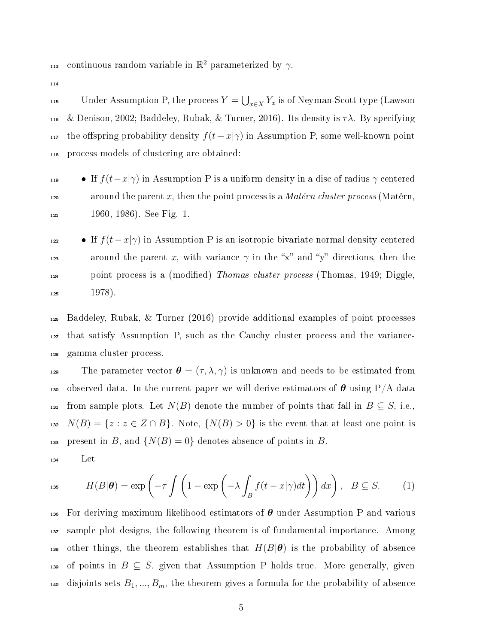113 continuous random variable in  $\mathbb{R}^2$  parameterized by  $\gamma$ .

114

115 Under Assumption P, the process  $Y = \bigcup_{x \in X} Y_x$  is of Neyman-Scott type (Lawson 116 & Denison, 2002; Baddeley, Rubak, & Turner, 2016). Its density is  $\tau \lambda$ . By specifying 117 the offspring probability density  $f(t-x|\gamma)$  in Assumption P, some well-known point <sup>118</sup> process models of clustering are obtained:

- <sup>119</sup> If  $f(t-x|\gamma)$  in Assumption P is a uniform density in a disc of radius γ centered 120 around the parent x, then the point process is a *Matérn cluster process* (Matérn, <sup>121</sup> 1960, 1986). See Fig. 1.
- **•** If  $f(t-x|\gamma)$  in Assumption P is an isotropic bivariate normal density centered 123 around the parent x, with variance  $\gamma$  in the "x" and "y" directions, then the <sub>124</sub> point process is a (modified) *Thomas cluster process* (Thomas, 1949; Diggle,  $125$  1978).
- <sup>126</sup> Baddeley, Rubak, & Turner (2016) provide additional examples of point processes <sup>127</sup> that satisfy Assumption P, such as the Cauchy cluster process and the variance-<sup>128</sup> gamma cluster process.

129 The parameter vector  $\boldsymbol{\theta} = (\tau, \lambda, \gamma)$  is unknown and needs to be estimated from 130 observed data. In the current paper we will derive estimators of  $\theta$  using P/A data 131 from sample plots. Let  $N(B)$  denote the number of points that fall in  $B\subseteq S$ , i.e., 132  $N(B) = \{z : z \in Z \cap B\}$ . Note,  $\{N(B) > 0\}$  is the event that at least one point is 133 present in B, and  $\{N(B) = 0\}$  denotes absence of points in B. <sup>134</sup> Let

$$
H(B|\boldsymbol{\theta}) = \exp\left(-\tau \int \left(1 - \exp\left(-\lambda \int_B f(t - x|\gamma)dt\right)\right)dx\right), \quad B \subseteq S. \tag{1}
$$

136 For deriving maximum likelihood estimators of  $\theta$  under Assumption P and various <sup>137</sup> sample plot designs, the following theorem is of fundamental importance. Among 138 other things, the theorem establishes that  $H(B|\theta)$  is the probability of absence 139 of points in  $B \subseteq S$ , given that Assumption P holds true. More generally, given 140 disjoints sets  $B_1, ..., B_m$ , the theorem gives a formula for the probability of absence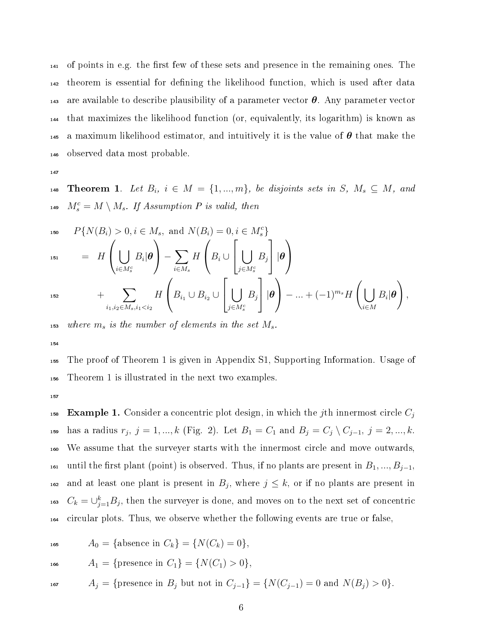of points in e.g. the first few of these sets and presence in the remaining ones. The theorem is essential for dening the likelihood function, which is used after data 143 are available to describe plausibility of a parameter vector  $\theta$ . Any parameter vector that maximizes the likelihood function (or, equivalently, its logarithm) is known as 145 a maximum likelihood estimator, and intuitively it is the value of  $\theta$  that make the observed data most probable.

147

148 Theorem 1. Let  $B_i$ ,  $i \in M = \{1, ..., m\}$ , be disjoints sets in S,  $M_s \subseteq M$ , and 149  $M_s^c = M \setminus M_s$ . If Assumption P is valid, then

150 
$$
P{N(B_i) > 0, i \in M_s, \text{ and } N(B_i) = 0, i \in M_s^c}
$$
  
\n151  $= H\left(\bigcup_{i \in M_s^c} B_i | \boldsymbol{\theta}\right) - \sum_{i \in M_s} H\left(B_i \cup \left[\bigcup_{j \in M_s^c} B_j\right] | \boldsymbol{\theta}\right)$   
\n152  $+ \sum_{i_1, i_2 \in M_s, i_1 < i_2} H\left(B_{i_1} \cup B_{i_2} \cup \left[\bigcup_{j \in M_s^c} B_j\right] | \boldsymbol{\theta}\right) - ... + (-1)^{m_s} H\left(\bigcup_{i \in M} B_i | \boldsymbol{\theta}\right),$ 

153 where  $m_s$  is the number of elements in the set  $M_s$ .

154

<sup>155</sup> The proof of Theorem 1 is given in Appendix S1, Supporting Information. Usage of <sup>156</sup> Theorem 1 is illustrated in the next two examples.

157

**Example 1.** Consider a concentric plot design, in which the jth innermost circle  $C_i$ 158 159 has a radius  $r_j, j = 1, ..., k$  (Fig. 2). Let  $B_1 = C_1$  and  $B_j = C_j \setminus C_{j-1}, j = 2, ..., k$ . <sup>160</sup> We assume that the surveyer starts with the innermost circle and move outwards, 161 until the first plant (point) is observed. Thus, if no plants are present in  $B_1, ..., B_{j-1}$ , <sup>162</sup> and at least one plant is present in  $B_j$ , where  $j \leq k$ , or if no plants are present in <sup>163</sup>  $C_k = \cup_{j=1}^k B_j$ , then the surveyer is done, and moves on to the next set of concentric <sup>164</sup> circular plots. Thus, we observe whether the following events are true or false,

165  $A_0 = \{\text{absence in } C_k\} = \{N(C_k) = 0\},\$ 

$$
A_1 = \{ \text{presence in } C_1 \} = \{ N(C_1) > 0 \},
$$

$$
A_j = \{ \text{presence in } B_j \text{ but not in } C_{j-1} \} = \{ N(C_{j-1}) = 0 \text{ and } N(B_j) > 0 \}.
$$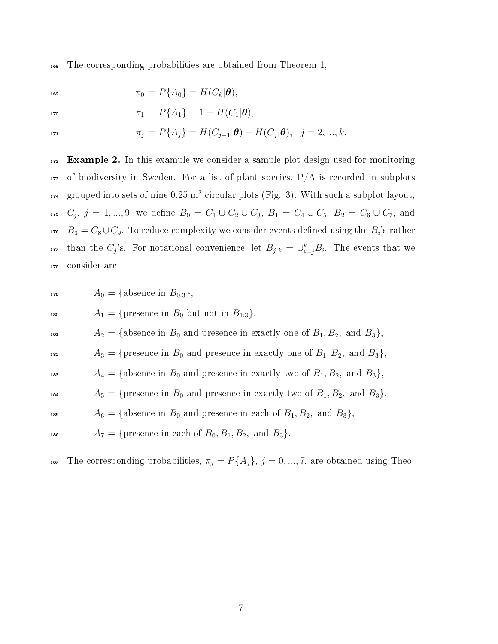<sup>168</sup> The corresponding probabilities are obtained from Theorem 1,

$$
\pi_0 = P\{A_0\} = H(C_k | \boldsymbol{\theta}),
$$

$$
\pi_1 = P\{A_1\} = 1 - H(C_1|\boldsymbol{\theta}),
$$

$$
\pi_j = P\{A_j\} = H(C_{j-1}|\boldsymbol{\theta}) - H(C_j|\boldsymbol{\theta}), \quad j = 2, ..., k.
$$

<sup>172</sup> Example 2. In this example we consider a sample plot design used for monitoring  $173$  of biodiversity in Sweden. For a list of plant species,  $P/A$  is recorded in subplots  $_{174}$  grouped into sets of nine  $0.25$  m<sup>2</sup> circular plots (Fig. 3). With such a subplot layout, 175  $C_j, j = 1, ..., 9$ , we define  $B_0 = C_1 \cup C_2 \cup C_3$ ,  $B_1 = C_4 \cup C_5$ ,  $B_2 = C_6 \cup C_7$ , and  $B_3 = C_8 \cup C_9.$  To reduce complexity we consider events defined using the  $B_i$ 's rather <sup>177</sup> than the  $C_j$ 's. For notational convenience, let  $B_{j:k} = \bigcup_{i=j}^k B_i$ . The events that we <sup>178</sup> consider are

$$
A_0 = \{ \text{absence in}
$$

180  $A_1 = \{$ presence in  $B_0$  but not in  $B_{1:3}\},\$ 

 $B_{0.3}$ ,

<sup>181</sup>  $A_2 = \{ \text{absence in } B_0 \text{ and presence in exactly one of } B_1, B_2, \text{ and } B_3 \},$ 

<sup>182</sup>  $A_3 = \{$ presence in  $B_0$  and presence in exactly one of  $B_1, B_2$ , and  $B_3\}$ ,

$$
A_4 = \{ \text{absence in } B_0 \text{ and presence in exactly two of } B_1, B_2, \text{ and } B_3 \},
$$

- <sup>184</sup>  $A_5 = \{$ presence in  $B_0$  and presence in exactly two of  $B_1, B_2$ , and  $B_3\},$
- <sup>185</sup>  $A_6 = \{ \text{absence in } B_0 \text{ and presence in each of } B_1, B_2, \text{ and } B_3 \},$
- 186  $A_7 = \{$ presence in each of  $B_0, B_1, B_2, \text{ and } B_3\}.$

187 The corresponding probabilities,  $\pi_j = P\{A_j\}, j = 0, ..., 7$ , are obtained using Theo-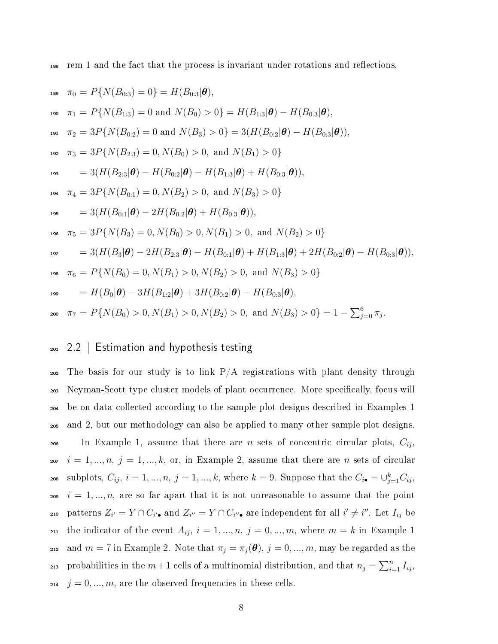<sup>188</sup> rem 1 and the fact that the process is invariant under rotations and reections,

189 
$$
\pi_0 = P\{N(B_{0:3}) = 0\} = H(B_{0:3}|\theta),
$$
  
\n190  $\pi_1 = P\{N(B_{1:3}) = 0 \text{ and } N(B_0) > 0\} = H(B_{1:3}|\theta) - H(B_{0:3}|\theta),$   
\n191  $\pi_2 = 3P\{N(B_{0:2}) = 0 \text{ and } N(B_3) > 0\} = 3(H(B_{0:2}|\theta) - H(B_{0:3}|\theta)),$   
\n192  $\pi_3 = 3P\{N(B_{2:3}) = 0, N(B_0) > 0, \text{ and } N(B_1) > 0\}$   
\n193  $= 3(H(B_{2:3}|\theta) - H(B_{0:2}|\theta) - H(B_{1:3}|\theta) + H(B_{0:3}|\theta)),$   
\n194  $\pi_4 = 3P\{N(B_{0:1}) = 0, N(B_2) > 0, \text{ and } N(B_3) > 0\}$   
\n195  $= 3(H(B_{0:1}|\theta) - 2H(B_{0:2}|\theta) + H(B_{0:3}|\theta)),$   
\n196  $\pi_5 = 3P\{N(B_3) = 0, N(B_0) > 0, N(B_1) > 0, \text{ and } N(B_2) > 0\}$   
\n197  $= 3(H(B_3|\theta) - 2H(B_{2:3}|\theta) - H(B_{0:1}|\theta) + H(B_{1:3}|\theta) + 2H(B_{0:2}|\theta) - H(B_{0:3}|\theta)),$   
\n198  $\pi_6 = P\{N(B_0) = 0, N(B_1) > 0, N(B_2) > 0, \text{ and } N(B_3) > 0\}$   
\n199  $= H(B_0|\theta) - 3H(B_{1:2}|\theta) + 3H(B_{0:2}|\theta) - H(B_{0:3}|\theta),$   
\n290  $\pi_7 = P\{N(B_0) > 0, N(B_1) > 0, N(B_2) > 0, \text{ and } N(B_3) > 0\} = 1 - \sum_{j=0}^6 \pi_j.$ 

#### <sup>201</sup> 2.2 | Estimation and hypothesis testing

 $202$  The basis for our study is to link  $P/A$  registrations with plant density through <sub>203</sub> Neyman-Scott type cluster models of plant occurrence. More specifically, focus will <sup>204</sup> be on data collected according to the sample plot designs described in Examples 1 <sup>205</sup> and 2, but our methodology can also be applied to many other sample plot designs. 206 In Example 1, assume that there are n sets of concentric circular plots,  $C_{ij}$ , 207  $i = 1, ..., n, j = 1, ..., k$ , or, in Example 2, assume that there are n sets of circular subplots,  $C_{ij}$ ,  $i = 1, ..., n$ ,  $j = 1, ..., k$ , where  $k = 9$ . Suppose that the  $C_{i\bullet} = \cup_{j=1}^{k} C_{ij}$ ,  $i = 1, ..., n$ , are so far apart that it is not unreasonable to assume that the point 210 patterns  $Z_{i'} = Y \cap C_{i'}$ , and  $Z_{i''} = Y \cap C_{i''}$ , are independent for all  $i' \neq i''$ . Let  $I_{ij}$  be the indicator of the event  $A_{ij}$ ,  $i = 1, ..., n$ ,  $j = 0, ..., m$ , where  $m = k$  in Example 1 212 and  $m = 7$  in Example 2. Note that  $\pi_j = \pi_j(\boldsymbol{\theta}), j = 0, ..., m$ , may be regarded as the 213 probabilities in the  $m+1$  cells of a multinomial distribution, and that  $n_j = \sum_{i=1}^n I_{ij}$ , <sup>214</sup>  $j = 0, ..., m$ , are the observed frequencies in these cells.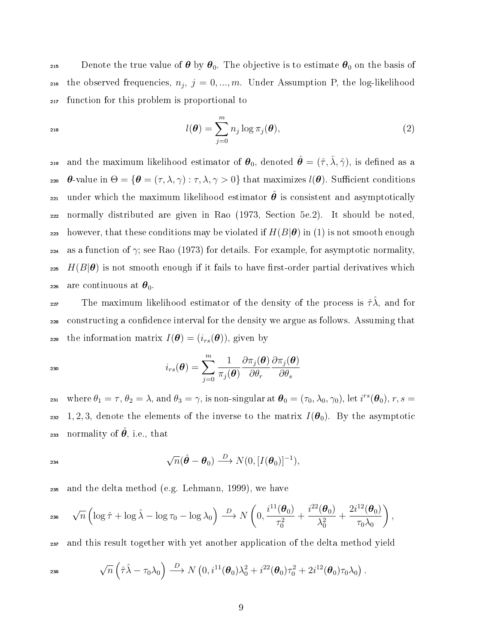215 Denote the true value of  $\theta$  by  $\theta_0$ . The objective is to estimate  $\theta_0$  on the basis of 216 the observed frequencies,  $n_j, j = 0, ..., m$ . Under Assumption P, the log-likelihood <sup>217</sup> function for this problem is proportional to

$$
l(\boldsymbol{\theta}) = \sum_{j=0}^{m} n_j \log \pi_j(\boldsymbol{\theta}), \qquad (2)
$$

and the maximum likelihood estimator of  $\theta_0$ , denoted  $\hat{\theta} = (\hat{\tau}, \hat{\lambda}, \hat{\gamma})$ , is defined as a 220 θ-value in  $\Theta = {\theta = (\tau, \lambda, \gamma) : \tau, \lambda, \gamma > 0}$  that maximizes  $l(\theta)$ . Sufficient conditions 221 under which the maximum likelihood estimator  $\hat{\theta}$  is consistent and asymptotically <sup>222</sup> normally distributed are given in Rao (1973, Section 5e.2). It should be noted, 223 however, that these conditions may be violated if  $H(B|\theta)$  in (1) is not smooth enough 224 as a function of  $\gamma$ ; see Rao (1973) for details. For example, for asymptotic normality, 225  $H(B|\theta)$  is not smooth enough if it fails to have first-order partial derivatives which 226 are continuous at  $\theta_0$ .

227 The maximum likelihood estimator of the density of the process is  $\hat{\tau} \hat{\lambda}$ , and for <sup>228</sup> constructing a condence interval for the density we argue as follows. Assuming that 229 the information matrix  $I(\boldsymbol{\theta}) = (i_{rs}(\boldsymbol{\theta}))$ , given by

$$
i_{rs}(\boldsymbol{\theta}) = \sum_{j=0}^{m} \frac{1}{\pi_j(\boldsymbol{\theta})} \frac{\partial \pi_j(\boldsymbol{\theta})}{\partial \theta_r} \frac{\partial \pi_j(\boldsymbol{\theta})}{\partial \theta_s}
$$

231 where  $\theta_1 = \tau$ ,  $\theta_2 = \lambda$ , and  $\theta_3 = \gamma$ , is non-singular at  $\boldsymbol{\theta}_0 = (\tau_0, \lambda_0, \gamma_0)$ , let  $i^{rs}(\boldsymbol{\theta}_0)$ ,  $r, s =$ 232 1, 2, 3, denote the elements of the inverse to the matrix  $I(\theta_0)$ . By the asymptotic 233 normality of  $\hat{\theta}$ , i.e., that

$$
\sqrt{n}(\hat{\boldsymbol{\theta}} - \boldsymbol{\theta}_0) \stackrel{D}{\longrightarrow} N(0, [I(\boldsymbol{\theta}_0)]^{-1}),
$$

<sup>235</sup> and the delta method (e.g. Lehmann, 1999), we have

$$
\mathsf{1}_{236} \quad \sqrt{n} \left( \log \hat{\tau} + \log \hat{\lambda} - \log \tau_0 - \log \lambda_0 \right) \stackrel{D}{\longrightarrow} N \left( 0, \frac{i^{11}(\boldsymbol{\theta}_0)}{\tau_0^2} + \frac{i^{22}(\boldsymbol{\theta}_0)}{\lambda_0^2} + \frac{2i^{12}(\boldsymbol{\theta}_0)}{\tau_0 \lambda_0} \right),
$$

<sup>237</sup> and this result together with yet another application of the delta method yield

$$
\sqrt{n}\left(\hat{\tau}\hat{\lambda}-\tau_0\lambda_0\right)\stackrel{D}{\longrightarrow}N\left(0,i^{11}(\boldsymbol{\theta}_0)\lambda_0^2+i^{22}(\boldsymbol{\theta}_0)\tau_0^2+2i^{12}(\boldsymbol{\theta}_0)\tau_0\lambda_0\right).
$$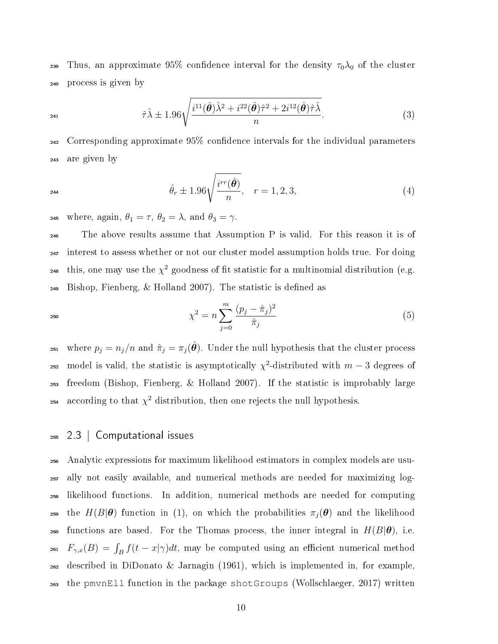239 Thus, an approximate 95% confidence interval for the density  $\tau_0\lambda_0$  of the cluster <sup>240</sup> process is given by

$$
\hat{\tau}\hat{\lambda} \pm 1.96\sqrt{\frac{i^{11}(\hat{\boldsymbol{\theta}})\hat{\lambda}^2 + i^{22}(\hat{\boldsymbol{\theta}})\hat{\tau}^2 + 2i^{12}(\hat{\boldsymbol{\theta}})\hat{\tau}\hat{\lambda}}{n}}.
$$
\n(3)

 $242$  Corresponding approximate 95% confidence intervals for the individual parameters <sup>243</sup> are given by

$$
\hat{\theta}_r \pm 1.96 \sqrt{\frac{i^{rr}(\hat{\theta})}{n}}, \quad r = 1, 2, 3,
$$
\n(4)

245 where, again,  $\theta_1 = \tau$ ,  $\theta_2 = \lambda$ , and  $\theta_3 = \gamma$ .

 The above results assume that Assumption P is valid. For this reason it is of interest to assess whether or not our cluster model assumption holds true. For doing <sup>248</sup> this, one may use the  $\chi^2$  goodness of fit statistic for a multinomial distribution (e.g. Bishop, Fienberg, & Holland 2007). The statistic is defined as

$$
\chi^2 = n \sum_{j=0}^{m} \frac{(p_j - \hat{\pi}_j)^2}{\hat{\pi}_j} \tag{5}
$$

<sup>251</sup> where  $p_j = n_j/n$  and  $\hat{\pi}_j = \pi_j(\hat{\theta})$ . Under the null hypothesis that the cluster process 252 model is valid, the statistic is asymptotically  $\chi^2$ -distributed with  $m-3$  degrees of <sup>253</sup> freedom (Bishop, Fienberg, & Holland 2007). If the statistic is improbably large 254 according to that  $\chi^2$  distribution, then one rejects the null hypothesis.

### <sup>255</sup> 2.3 | Computational issues

 Analytic expressions for maximum likelihood estimators in complex models are usu- ally not easily available, and numerical methods are needed for maximizing log- likelihood functions. In addition, numerical methods are needed for computing <sup>259</sup> the  $H(B|\theta)$  function in (1), on which the probabilities  $\pi_j(\theta)$  and the likelihood 260 functions are based. For the Thomas process, the inner integral in  $H(B|\theta)$ , i.e.  $F_{\gamma,x}(B) = \int_B f(t-x|\gamma)dt$ , may be computed using an efficient numerical method  $_{262}$  described in DiDonato & Jarnagin (1961), which is implemented in, for example. the pmvnEll function in the package shotGroups (Wollschlaeger, 2017) written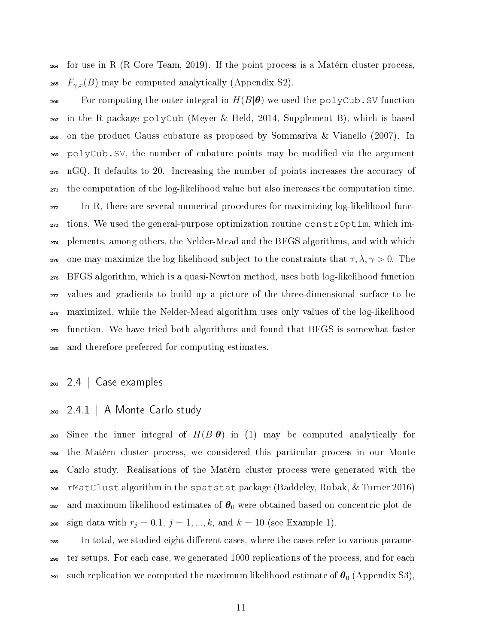for use in R (R Core Team, 2019). If the point process is a Matérn cluster process, 265  $F_{\gamma,x}(B)$  may be computed analytically (Appendix S2).

266 For computing the outer integral in  $H(B|\theta)$  we used the polyCub. SV function in the R package polyCub (Meyer & Held, 2014, Supplement B), which is based on the product Gauss cubature as proposed by Sommariva & Vianello (2007). In polyCub.SV, the number of cubature points may be modied via the argument nGQ. It defaults to 20. Increasing the number of points increases the accuracy of the computation of the log-likelihood value but also increases the computation time. In R, there are several numerical procedures for maximizing log-likelihood func- tions. We used the general-purpose optimization routine constrOptim, which im- plements, among others, the Nelder-Mead and the BFGS algorithms, and with which 275 one may maximize the log-likelihood subject to the constraints that  $\tau, \lambda, \gamma > 0$ . The BFGS algorithm, which is a quasi-Newton method, uses both log-likelihood function values and gradients to build up a picture of the three-dimensional surface to be maximized, while the Nelder-Mead algorithm uses only values of the log-likelihood function. We have tried both algorithms and found that BFGS is somewhat faster and therefore preferred for computing estimates.

### $_{281}$  2.4 | Case examples

2.4.1 | A Monte Carlo study

283 Since the inner integral of  $H(B|\theta)$  in (1) may be computed analytically for the Matérn cluster process, we considered this particular process in our Monte Carlo study. Realisations of the Matérn cluster process were generated with the rMatClust algorithm in the spatstat package (Baddeley, Rubak, & Turner 2016) 287 and maximum likelihood estimates of  $\theta_0$  were obtained based on concentric plot de-288 sign data with  $r_j = 0.1, j = 1, ..., k$ , and  $k = 10$  (see Example 1).

<sup>289</sup> In total, we studied eight different cases, where the cases refer to various parame- ter setups. For each case, we generated 1000 replications of the process, and for each <sup>291</sup> such replication we computed the maximum likelihood estimate of  $\theta_0$  (Appendix S3),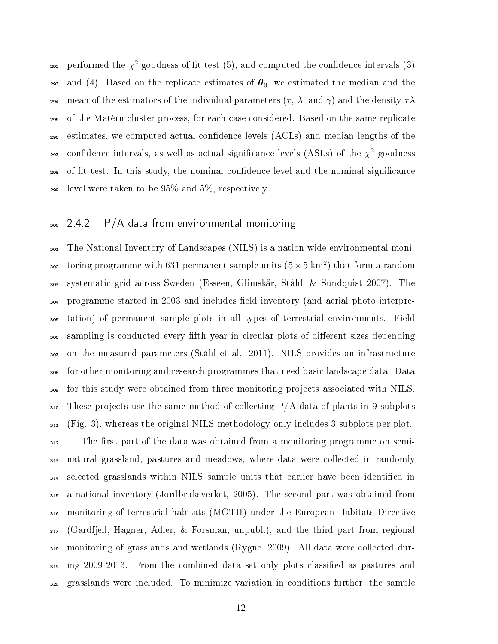292 performed the  $\chi^2$  goodness of fit test (5), and computed the confidence intervals (3) 293 and (4). Based on the replicate estimates of  $\theta_0$ , we estimated the median and the 294 mean of the estimators of the individual parameters  $(\tau, \lambda, \text{ and } \gamma)$  and the density  $\tau \lambda$  of the Matérn cluster process, for each case considered. Based on the same replicate estimates, we computed actual condence levels (ACLs) and median lengths of the <sup>297</sup> confidence intervals, as well as actual significance levels (ASLs) of the  $\chi^2$  goodness <sub>298</sub> of fit test. In this study, the nominal confidence level and the nominal significance level were taken to be 95% and 5%, respectively.

# 300 2.4.2 | P/A data from environmental monitoring

 The National Inventory of Landscapes (NILS) is a nation-wide environmental moni-302 toring programme with 631 permanent sample units  $(5 \times 5 \text{ km}^2)$  that form a random systematic grid across Sweden (Esseen, Glimskär, Ståhl, & Sundquist 2007). The programme started in 2003 and includes eld inventory (and aerial photo interpre- tation) of permanent sample plots in all types of terrestrial environments. Field <sup>306</sup> sampling is conducted every fifth year in circular plots of different sizes depending on the measured parameters (Ståhl et al., 2011). NILS provides an infrastructure for other monitoring and research programmes that need basic landscape data. Data for this study were obtained from three monitoring projects associated with NILS. These projects use the same method of collecting P/A-data of plants in 9 subplots (Fig. 3), whereas the original NILS methodology only includes 3 subplots per plot. <sup>312</sup> The first part of the data was obtained from a monitoring programme on semi- natural grassland, pastures and meadows, where data were collected in randomly selected grasslands within NILS sample units that earlier have been identied in a national inventory (Jordbruksverket, 2005). The second part was obtained from monitoring of terrestrial habitats (MOTH) under the European Habitats Directive (Gardfjell, Hagner, Adler, & Forsman, unpubl.), and the third part from regional monitoring of grasslands and wetlands (Rygne, 2009). All data were collected dur- ing 2009-2013. From the combined data set only plots classied as pastures and grasslands were included. To minimize variation in conditions further, the sample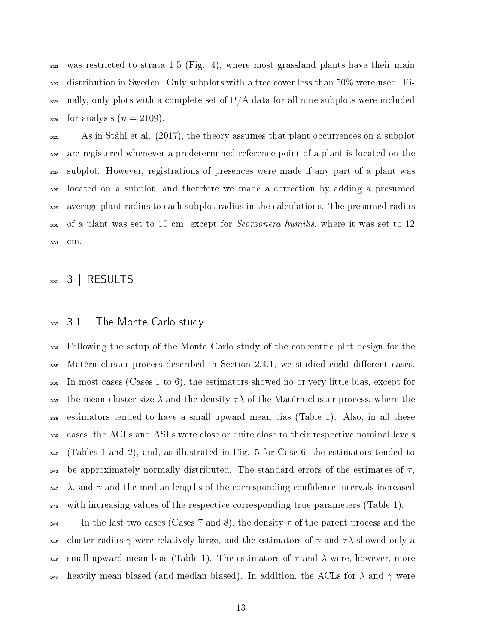was restricted to strata 1-5 (Fig. 4), where most grassland plants have their main distribution in Sweden. Only subplots with a tree cover less than  $50\%$  were used. Fi- $_{323}$  nally, only plots with a complete set of P/A data for all nine subplots were included  $_{324}$  for analysis  $(n = 2109)$ .

 As in Ståhl et al. (2017), the theory assumes that plant occurrences on a subplot are registered whenever a predetermined reference point of a plant is located on the subplot. However, registrations of presences were made if any part of a plant was located on a subplot, and therefore we made a correction by adding a presumed average plant radius to each subplot radius in the calculations. The presumed radius of a plant was set to 10 cm, except for Scorzonera humilis, where it was set to 12 cm.

RESULTS

### 3.1 | The Monte Carlo study

 Following the setup of the Monte Carlo study of the concentric plot design for the Matérn cluster process described in Section 2.4.1, we studied eight different cases. In most cases (Cases 1 to 6), the estimators showed no or very little bias, except for 337 the mean cluster size  $\lambda$  and the density  $\tau\lambda$  of the Matérn cluster process, where the estimators tended to have a small upward mean-bias (Table 1). Also, in all these cases, the ACLs and ASLs were close or quite close to their respective nominal levels (Tables 1 and 2), and, as illustrated in Fig. 5 for Case 6, the estimators tended to  $_{341}$  be approximately normally distributed. The standard errors of the estimates of  $\tau$ ,  $\lambda$ , and  $\gamma$  and the median lengths of the corresponding confidence intervals increased with increasing values of the respective corresponding true parameters (Table 1).

 $\frac{344}{4}$  In the last two cases (Cases 7 and 8), the density  $\tau$  of the parent process and the 345 cluster radius  $\gamma$  were relatively large, and the estimators of  $\gamma$  and  $\tau\lambda$  showed only a 346 small upward mean-bias (Table 1). The estimators of  $\tau$  and  $\lambda$  were, however, more  $_{347}$  heavily mean-biased (and median-biased). In addition, the ACLs for  $\lambda$  and  $\gamma$  were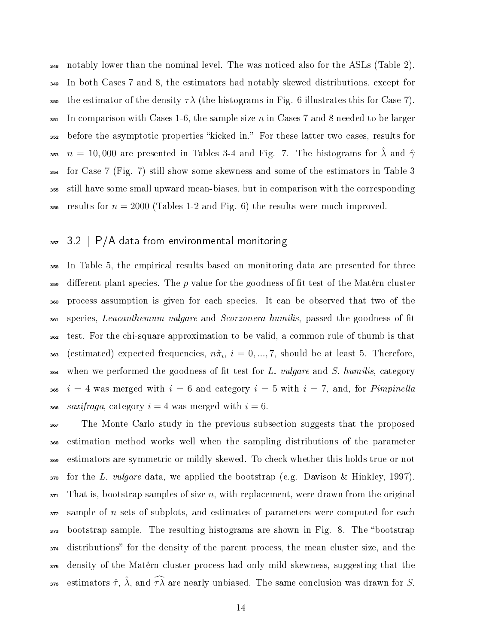notably lower than the nominal level. The was noticed also for the ASLs (Table 2). In both Cases 7 and 8, the estimators had notably skewed distributions, except for 350 the estimator of the density  $\tau\lambda$  (the histograms in Fig. 6 illustrates this for Case 7).  $\frac{351}{10}$  In comparison with Cases 1-6, the sample size n in Cases 7 and 8 needed to be larger before the asymptotic properties kicked in. For these latter two cases, results for  $n = 10,000$  are presented in Tables 3-4 and Fig. 7. The histograms for  $\hat{\lambda}$  and  $\hat{\gamma}$  for Case 7 (Fig. 7) still show some skewness and some of the estimators in Table 3 still have some small upward mean-biases, but in comparison with the corresponding 356 results for  $n = 2000$  (Tables 1-2 and Fig. 6) the results were much improved.

## $357$  3.2 | P/A data from environmental monitoring

<sup>358</sup> In Table 5, the empirical results based on monitoring data are presented for three  $\frac{359}{100}$  different plant species. The p-value for the goodness of fit test of the Matérn cluster <sup>360</sup> process assumption is given for each species. It can be observed that two of the <sup>361</sup> species, Leucanthemum vulgare and Scorzonera humilis, passed the goodness of fit <sup>362</sup> test. For the chi-square approximation to be valid, a common rule of thumb is that 363 (estimated) expected frequencies,  $n\hat{\pi}_i,~i=0,...,7,$  should be at least  $5.$  Therefore,  $364$  when we performed the goodness of fit test for L. vulgare and S. humilis, category 365  $i = 4$  was merged with  $i = 6$  and category  $i = 5$  with  $i = 7$ , and, for *Pimpinella* 366 saxifraga, category  $i = 4$  was merged with  $i = 6$ .

 The Monte Carlo study in the previous subsection suggests that the proposed estimation method works well when the sampling distributions of the parameter estimators are symmetric or mildly skewed. To check whether this holds true or not for the L. vulgare data, we applied the bootstrap (e.g. Davison & Hinkley, 1997). That is, bootstrap samples of size n, with replacement, were drawn from the original sample of n sets of subplots, and estimates of parameters were computed for each <sub>373</sub> bootstrap sample. The resulting histograms are shown in Fig. 8. The "bootstrap 374 distributions" for the density of the parent process, the mean cluster size, and the density of the Matérn cluster process had only mild skewness, suggesting that the 376 estimators  $\hat{\tau}$ ,  $\hat{\lambda}$ , and  $\hat{\tau}\hat{\lambda}$  are nearly unbiased. The same conclusion was drawn for S.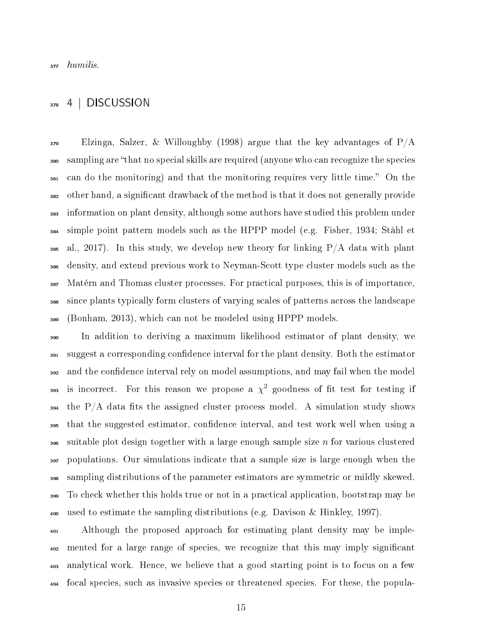### 4 | DISCUSSION

 $\frac{379}{4}$  Elzinga, Salzer, & Willoughby (1998) argue that the key advantages of P/A sampling are that no special skills are required (anyone who can recognize the species 381 can do the monitoring) and that the monitoring requires very little time." On the other hand, a signicant drawback of the method is that it does not generally provide information on plant density, although some authors have studied this problem under simple point pattern models such as the HPPP model (e.g. Fisher, 1934; Ståhl et 385 al., 2017). In this study, we develop new theory for linking  $P/A$  data with plant density, and extend previous work to Neyman-Scott type cluster models such as the Matérn and Thomas cluster processes. For practical purposes, this is of importance, since plants typically form clusters of varying scales of patterns across the landscape (Bonham, 2013), which can not be modeled using HPPP models.

 In addition to deriving a maximum likelihood estimator of plant density, we suggest a corresponding condence interval for the plant density. Both the estimator 392 and the confidence interval rely on model assumptions, and may fail when the model 393 is incorrect. For this reason we propose a  $\chi^2$  goodness of fit test for testing if the P/A data fits the assigned cluster process model. A simulation study shows that the suggested estimator, condence interval, and test work well when using a  $\frac{396}{100}$  suitable plot design together with a large enough sample size n for various clustered populations. Our simulations indicate that a sample size is large enough when the sampling distributions of the parameter estimators are symmetric or mildly skewed. To check whether this holds true or not in a practical application, bootstrap may be used to estimate the sampling distributions (e.g. Davison & Hinkley, 1997).

 Although the proposed approach for estimating plant density may be imple- mented for a large range of species, we recognize that this may imply signicant analytical work. Hence, we believe that a good starting point is to focus on a few focal species, such as invasive species or threatened species. For these, the popula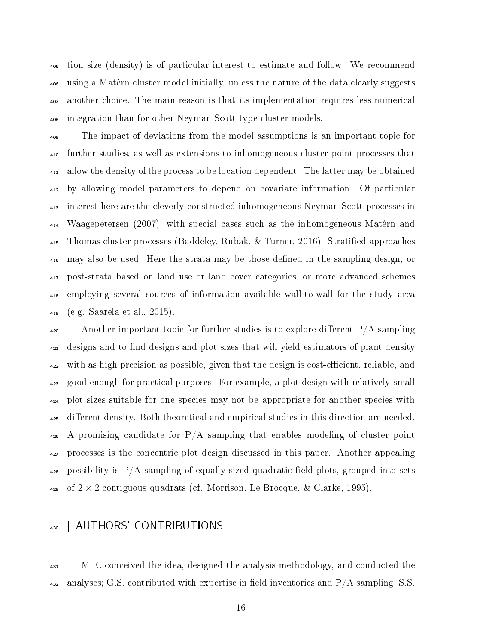tion size (density) is of particular interest to estimate and follow. We recommend using a Matérn cluster model initially, unless the nature of the data clearly suggests another choice. The main reason is that its implementation requires less numerical integration than for other Neyman-Scott type cluster models.

 The impact of deviations from the model assumptions is an important topic for further studies, as well as extensions to inhomogeneous cluster point processes that allow the density of the process to be location dependent. The latter may be obtained by allowing model parameters to depend on covariate information. Of particular interest here are the cleverly constructed inhomogeneous Neyman-Scott processes in Waagepetersen (2007), with special cases such as the inhomogeneous Matérn and Thomas cluster processes (Baddeley, Rubak, & Turner, 2016). Stratied approaches may also be used. Here the strata may be those dened in the sampling design, or post-strata based on land use or land cover categories, or more advanced schemes employing several sources of information available wall-to-wall for the study area (e.g. Saarela et al., 2015).

 Another important topic for further studies is to explore different  $P/A$  sampling <sup>421</sup> designs and to find designs and plot sizes that will yield estimators of plant density  $_{422}$  with as high precision as possible, given that the design is cost-efficient, reliable, and good enough for practical purposes. For example, a plot design with relatively small plot sizes suitable for one species may not be appropriate for another species with <sup>425</sup> different density. Both theoretical and empirical studies in this direction are needed. A promising candidate for  $P/A$  sampling that enables modeling of cluster point processes is the concentric plot design discussed in this paper. Another appealing  $_{428}$  possibility is P/A sampling of equally sized quadratic field plots, grouped into sets 429 of  $2 \times 2$  contiguous quadrats (cf. Morrison, Le Brocque, & Clarke, 1995).

## 430 | AUTHORS' CONTRIBUTIONS

 M.E. conceived the idea, designed the analysis methodology, and conducted the 432 analyses; G.S. contributed with expertise in field inventories and  $P/A$  sampling; S.S.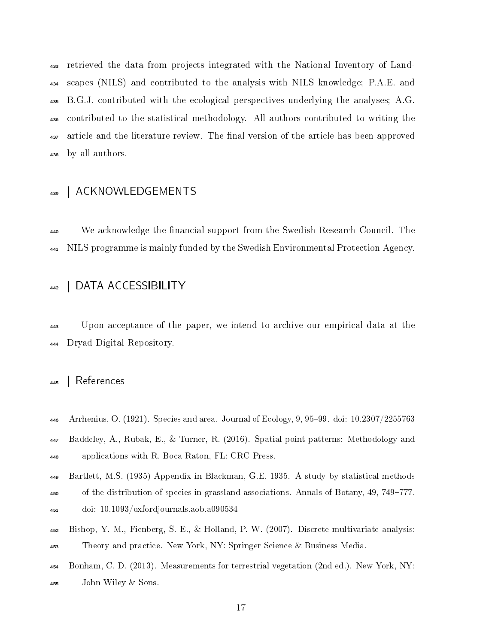retrieved the data from projects integrated with the National Inventory of Land- scapes (NILS) and contributed to the analysis with NILS knowledge; P.A.E. and B.G.J. contributed with the ecological perspectives underlying the analyses; A.G. contributed to the statistical methodology. All authors contributed to writing the <sup>437</sup> article and the literature review. The final version of the article has been approved by all authors.

## 439 | ACKNOWLEDGEMENTS

<sup>440</sup> We acknowledge the financial support from the Swedish Research Council. The NILS programme is mainly funded by the Swedish Environmental Protection Agency.

### 442 | DATA ACCESSIBILITY

 Upon acceptance of the paper, we intend to archive our empirical data at the Dryad Digital Repository.

### | References

- 446 Arrhenius, O. (1921). Species and area. Journal of Ecology,  $9, 95-99$ . doi:  $10.2307/2255763$
- Baddeley, A., Rubak, E., & Turner, R. (2016). Spatial point patterns: Methodology and applications with R. Boca Raton, FL: CRC Press.
- Bartlett, M.S. (1935) Appendix in Blackman, G.E. 1935. A study by statistical methods <sup>450</sup> of the distribution of species in grassland associations. Annals of Botany, 49, 749–777. doi: 10.1093/oxfordjournals.aob.a090534
- Bishop, Y. M., Fienberg, S. E., & Holland, P. W. (2007). Discrete multivariate analysis: Theory and practice. New York, NY: Springer Science & Business Media.
- Bonham, C. D. (2013). Measurements for terrestrial vegetation (2nd ed.). New York, NY: John Wiley & Sons.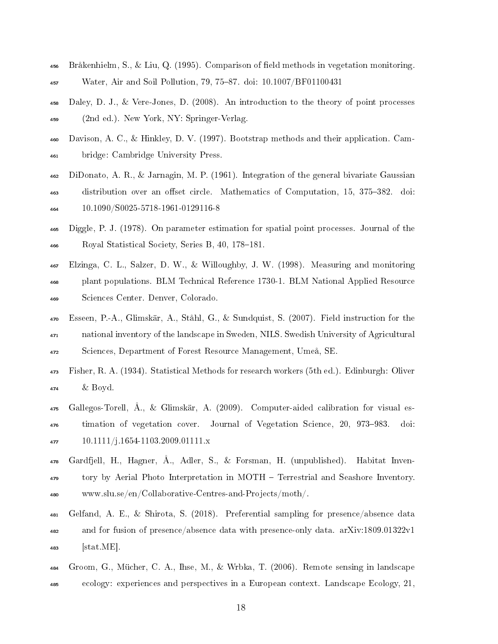- 456 Bråkenhielm, S., & Liu, Q. (1995). Comparison of field methods in vegetation monitoring.
- $\frac{457}{457}$  Water, Air and Soil Pollution, 79, 75–87. doi: 10.1007/BF01100431
- Daley, D. J., & Vere-Jones, D. (2008). An introduction to the theory of point processes (2nd ed.). New York, NY: Springer-Verlag.
- Davison, A. C., & Hinkley, D. V. (1997). Bootstrap methods and their application. Cam-bridge: Cambridge University Press.
- DiDonato, A. R., & Jarnagin, M. P. (1961). Integration of the general bivariate Gaussian 463 distribution over an offset circle. Mathematics of Computation, 15, 375–382. doi: 10.1090/S0025-5718-1961-0129116-8
- Diggle, P. J. (1978). On parameter estimation for spatial point processes. Journal of the 466 Royal Statistical Society, Series B, 40, 178-181.
- Elzinga, C. L., Salzer, D. W., & Willoughby, J. W. (1998). Measuring and monitoring plant populations. BLM Technical Reference 1730-1. BLM National Applied Resource Sciences Center. Denver, Colorado.
- Esseen, P.-A., Glimskär, A., Ståhl, G., & Sundquist, S. (2007). Field instruction for the national inventory of the landscape in Sweden, NILS. Swedish University of Agricultural Sciences, Department of Forest Resource Management, Umeå, SE.
- Fisher, R. A. (1934). Statistical Methods for research workers (5th ed.). Edinburgh: Oliver & Boyd.
- $_{475}$  Gallegos-Torell,  $\AA$ ., & Glimskär, A. (2009). Computer-aided calibration for visual es- timation of vegetation cover. Journal of Vegetation Science, 20, 973983. doi: 10.1111/j.1654-1103.2009.01111.x
- Gardfjell, H., Hagner, Å., Adler, S., & Forsman, H. (unpublished). Habitat Inven- tory by Aerial Photo Interpretation in MOTH Terrestrial and Seashore Inventory. www.slu.se/en/Collaborative-Centres-and-Projects/moth/.
- Gelfand, A. E., & Shirota, S. (2018). Preferential sampling for presence/absence data and for fusion of presence/absence data with presence-only data. arXiv:1809.01322v1 [stat.ME].
- Groom, G., Mücher, C. A., Ihse, M., & Wrbka, T. (2006). Remote sensing in landscape ecology: experiences and perspectives in a European context. Landscape Ecology, 21,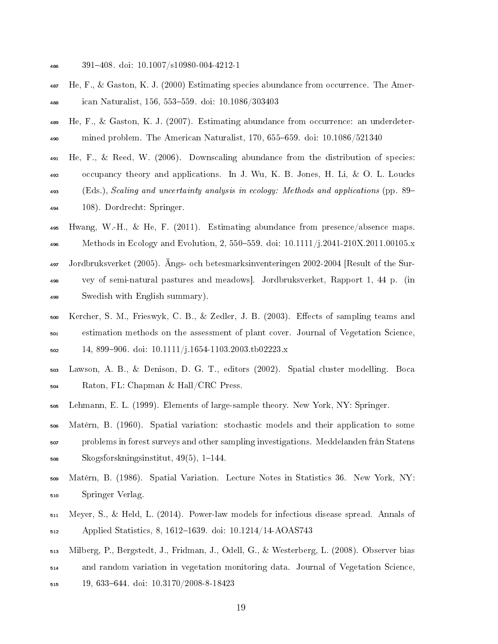- 391408. doi: 10.1007/s10980-004-4212-1
- He, F., & Gaston, K. J. (2000) Estimating species abundance from occurrence. The Amer-488 ican Naturalist, 156, 553–559. doi: 10.1086/303403
- He, F., & Gaston, K. J. (2007). Estimating abundance from occurrence: an underdeter- $\mu_{100}$  mined problem. The American Naturalist, 170, 655–659. doi: 10.1086/521340
- He, F., & Reed, W. (2006). Downscaling abundance from the distribution of species: occupancy theory and applications. In J. Wu, K. B. Jones, H. Li, & O. L. Loucks (Eds.), Scaling and uncertainty analysis in ecology: Methods and applications (pp. 89 108). Dordrecht: Springer.
- Hwang, W.-H., & He, F. (2011). Estimating abundance from presence/absence maps. 496 Methods in Ecology and Evolution, 2, 550–559. doi:  $10.1111/j.2041-210X.2011.00105.x$  Jordbruksverket (2005). Ängs- och betesmarksinventeringen 2002-2004 [Result of the Sur- vey of semi-natural pastures and meadows]. Jordbruksverket, Rapport 1, 44 p. (in Swedish with English summary).
- Kercher, S. M., Frieswyk, C. B., & Zedler, J. B. (2003). Eects of sampling teams and estimation methods on the assessment of plant cover. Journal of Vegetation Science, 14, 899906. doi: 10.1111/j.1654-1103.2003.tb02223.x
- Lawson, A. B., & Denison, D. G. T., editors (2002). Spatial cluster modelling. Boca Raton, FL: Chapman & Hall/CRC Press.
- Lehmann, E. L. (1999). Elements of large-sample theory. New York, NY: Springer.
- Matérn, B. (1960). Spatial variation: stochastic models and their application to some problems in forest surveys and other sampling investigations. Meddelanden från Statens Skogsforskningsinstitut,  $49(5)$ , 1–144.
- Matérn, B. (1986). Spatial Variation. Lecture Notes in Statistics 36. New York, NY: Springer Verlag.
- Meyer, S., & Held, L. (2014). Power-law models for infectious disease spread. Annals of 512 Applied Statistics, 8, 1612–1639. doi: 10.1214/14-AOAS743
- Milberg, P., Bergstedt, J., Fridman, J., Odell, G., & Westerberg, L. (2008). Observer bias
- and random variation in vegetation monitoring data. Journal of Vegetation Science,
- 19, 633644. doi: 10.3170/2008-8-18423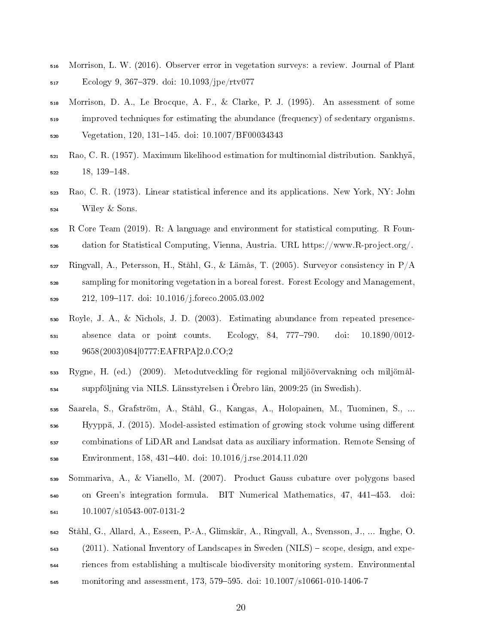- Morrison, L. W. (2016). Observer error in vegetation surveys: a review. Journal of Plant Ecology 9, 367379. doi: 10.1093/jpe/rtv077
- Morrison, D. A., Le Brocque, A. F., & Clarke, P. J. (1995). An assessment of some improved techniques for estimating the abundance (frequency) of sedentary organisms. 520 Vegetation, 120, 131-145. doi: 10.1007/BF00034343
- Rao, C. R. (1957). Maximum likelihood estimation for multinomial distribution. Sankhya, 18, 139-148.
- Rao, C. R. (1973). Linear statistical inference and its applications. New York, NY: John Wiley & Sons.
- R Core Team (2019). R: A language and environment for statistical computing. R Foun-dation for Statistical Computing, Vienna, Austria. URL https://www.R-project.org/.
- Ringvall, A., Petersson, H., Ståhl, G., & Lämås, T. (2005). Surveyor consistency in  $P/A$  sampling for monitoring vegetation in a boreal forest. Forest Ecology and Management, 212, 109117. doi: 10.1016/j.foreco.2005.03.002
- Royle, J. A., & Nichols, J. D. (2003). Estimating abundance from repeated presence- $_{531}$  absence data or point counts. Ecology, 84, 777-790. doi:  $10.1890/0012-$ 9658(2003)084[0777:EAFRPA]2.0.CO;2
- Rygne, H. (ed.) (2009). Metodutveckling för regional miljöövervakning och miljömål-suppföljning via NILS. Länsstyrelsen i Örebro län, 2009:25 (in Swedish).
- Saarela, S., Grafström, A., Ståhl, G., Kangas, A., Holopainen, M., Tuominen, S., ...  $_{536}$  Hyyppä, J. (2015). Model-assisted estimation of growing stock volume using different combinations of LiDAR and Landsat data as auxiliary information. Remote Sensing of Environment, 158, 431440. doi: 10.1016/j.rse.2014.11.020
- Sommariva, A., & Vianello, M. (2007). Product Gauss cubature over polygons based <sub>540</sub> on Green's integration formula. BIT Numerical Mathematics, 47, 441–453. doi: 10.1007/s10543-007-0131-2
- Ståhl, G., Allard, A., Esseen, P.-A., Glimskär, A., Ringvall, A., Svensson, J., ... Inghe, O.  $_{543}$  (2011). National Inventory of Landscapes in Sweden (NILS) – scope, design, and expe- riences from establishing a multiscale biodiversity monitoring system. Environmental  $_{545}$  monitoring and assessment, 173, 579–595. doi: 10.1007/s10661-010-1406-7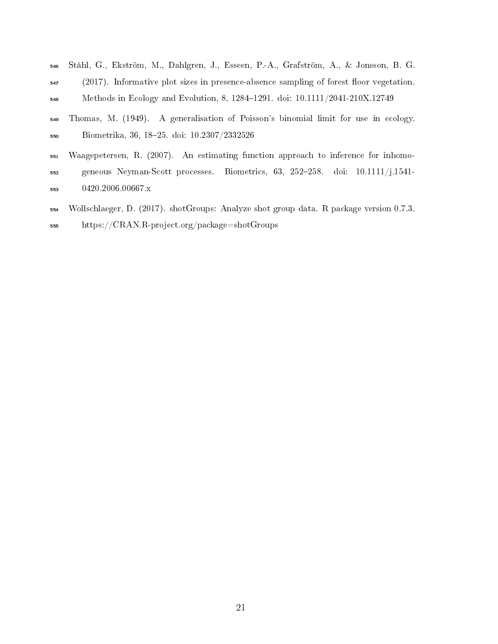- Ståhl, G., Ekström, M., Dahlgren, J., Esseen, P.-A., Grafström, A., & Jonsson, B. G.
- (2017). Informative plot sizes in presence-absence sampling of forest floor vegetation. 548 Methods in Ecology and Evolution, 8, 1284-1291. doi: 10.1111/2041-210X.12749
- Thomas, M. (1949). A generalisation of Poisson's binomial limit for use in ecology. Biometrika, 36, 1825. doi: 10.2307/2332526
- Waagepetersen, R. (2007). An estimating function approach to inference for inhomo- geneous Neyman-Scott processes. Biometrics, 63, 252258. doi: 10.1111/j.1541- 0420.2006.00667.x
- Wollschlaeger, D. (2017). shotGroups: Analyze shot group data. R package version 0.7.3. https://CRAN.R-project.org/package=shotGroups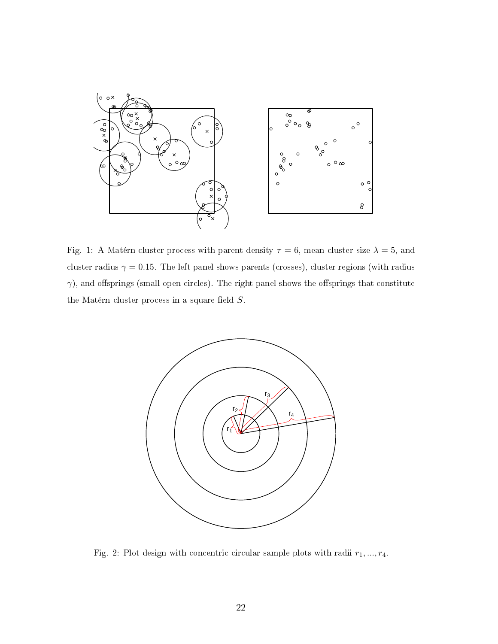

Fig. 1: A Matérn cluster process with parent density  $\tau = 6$ , mean cluster size  $\lambda = 5$ , and cluster radius  $\gamma = 0.15$ . The left panel shows parents (crosses), cluster regions (with radius  $\gamma$ ), and offsprings (small open circles). The right panel shows the offsprings that constitute the Matérn cluster process in a square field  $S$ .



Fig. 2: Plot design with concentric circular sample plots with radii  $r_1, ..., r_4$ .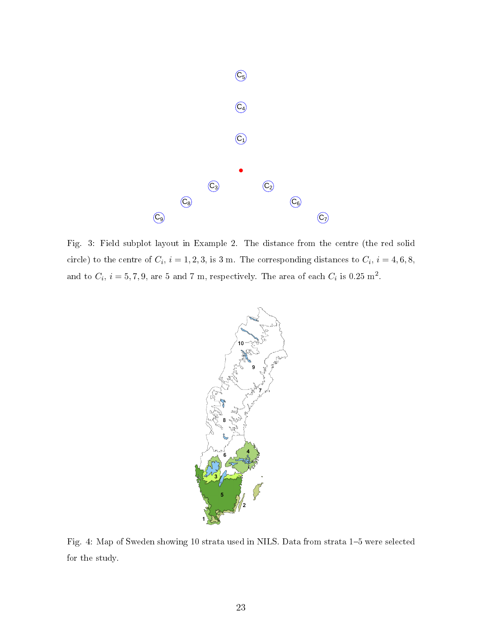

Fig. 3: Field subplot layout in Example 2. The distance from the centre (the red solid circle) to the centre of  $C_i$ ,  $i = 1, 2, 3$ , is 3 m. The corresponding distances to  $C_i$ ,  $i = 4, 6, 8$ , and to  $C_i$ ,  $i=5,7,9,$  are 5 and 7 m, respectively. The area of each  $C_i$  is 0.25  $\mathrm{m}^2$ .



Fig. 4: Map of Sweden showing 10 strata used in NILS. Data from strata 1-5 were selected for the study.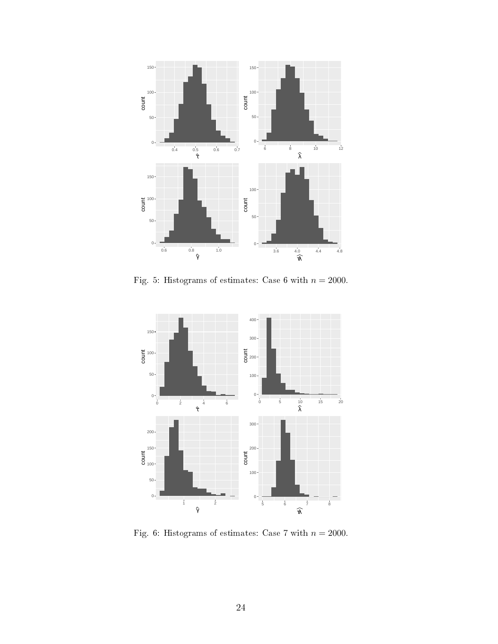

Fig. 5: Histograms of estimates: Case 6 with  $n = 2000$ .



Fig. 6: Histograms of estimates: Case 7 with  $n = 2000$ .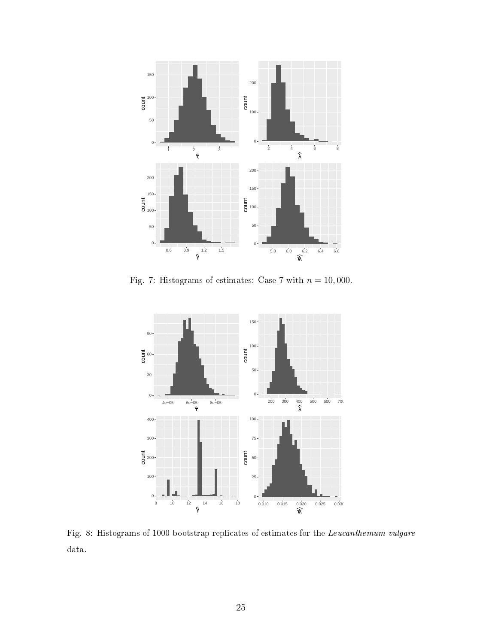

Fig. 7: Histograms of estimates: Case 7 with  $n = 10,000$ .



Fig. 8: Histograms of 1000 bootstrap replicates of estimates for the  $\emph{Leucanhemum vulgare}$ data.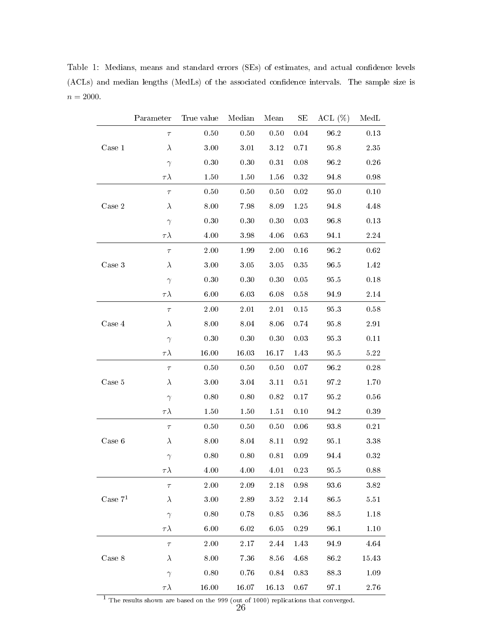Table 1: Medians, means and standard errors (SEs) of estimates, and actual confidence levels (ACLs) and median lengths (MedLs) of the associated confidence intervals. The sample size is  $n=2000\mspace{1mu}.$ 

|           | Parameter     | True value | Median   | Mean     | SE       | $ACL$ (%) | MedL     |
|-----------|---------------|------------|----------|----------|----------|-----------|----------|
|           | $\tau$        | $0.50\,$   | $0.50\,$ | 0.50     | $0.04\,$ | 96.2      | 0.13     |
| Case 1    | $\lambda$     | 3.00       | 3.01     | 3.12     | 0.71     | 95.8      | 2.35     |
|           | $\gamma$      | 0.30       | 0.30     | 0.31     | 0.08     | 96.2      | 0.26     |
|           | $\tau\lambda$ | 1.50       | 1.50     | 1.56     | $0.32\,$ | 94.8      | 0.98     |
|           | $\tau$        | 0.50       | 0.50     | 0.50     | 0.02     | 95.0      | 0.10     |
| Case 2    | $\lambda$     | 8.00       | 7.98     | 8.09     | 1.25     | 94.8      | 4.48     |
|           | $\gamma$      | 0.30       | 0.30     | 0.30     | 0.03     | 96.8      | 0.13     |
|           | $\tau\lambda$ | 4.00       | 3.98     | 4.06     | 0.63     | 94.1      | 2.24     |
|           | $\tau$        | 2.00       | 1.99     | 2.00     | $0.16\,$ | $96.2\,$  | 0.62     |
| Case 3    | $\lambda$     | 3.00       | 3.05     | 3.05     | 0.35     | 96.5      | 1.42     |
|           | $\gamma$      | 0.30       | 0.30     | 0.30     | 0.05     | 95.5      | 0.18     |
|           | $\tau\lambda$ | 6.00       | $6.03\,$ | 6.08     | 0.58     | 94.9      | 2.14     |
|           | $\tau$        | $2.00\,$   | $2.01\,$ | 2.01     | 0.15     | 95.3      | 0.58     |
| Case 4    | $\lambda$     | 8.00       | 8.04     | 8.06     | 0.74     | 95.8      | 2.91     |
|           | $\gamma$      | 0.30       | 0.30     | 0.30     | 0.03     | 95.3      | 0.11     |
|           | $\tau\lambda$ | 16.00      | 16.03    | 16.17    | 1.43     | 95.5      | 5.22     |
|           | $\tau$        | 0.50       | 0.50     | 0.50     | 0.07     | 96.2      | 0.28     |
| Case 5    | $\lambda$     | 3.00       | 3.04     | 3.11     | 0.51     | 97.2      | 1.70     |
|           | $\gamma$      | 0.80       | 0.80     | 0.82     | 0.17     | 95.2      | 0.56     |
|           | $\tau\lambda$ | 1.50       | 1.50     | 1.51     | 0.10     | 94.2      | 0.39     |
|           | $\tau$        | 0.50       | 0.50     | 0.50     | 0.06     | 93.8      | 0.21     |
| Case 6    | $\lambda$     | 8.00       | 8.04     | 8.11     | 0.92     | 95.1      | 3.38     |
|           | $\gamma$      | 0.80       | 0.80     | 0.81     | 0.09     | 94.4      | 0.32     |
|           | $\tau\lambda$ | 4.00       | 4.00     | 4.01     | 0.23     | 95.5      | 0.88     |
|           | $\tau$        | $2.00\,$   | 2.09     | 2.18     | 0.98     | 93.6      | 3.82     |
| Case $71$ | $\lambda$     | $3.00\,$   | 2.89     | $3.52\,$ | 2.14     | 86.5      | $5.51\,$ |
|           | $\gamma$      | 0.80       | 0.78     | 0.85     | 0.36     | 88.5      | 1.18     |
|           | $\tau\lambda$ | $6.00\,$   | 6.02     | $6.05\,$ | 0.29     | 96.1      | 1.10     |
|           | $\tau$        | 2.00       | 2.17     | 2.44     | 1.43     | 94.9      | 4.64     |
| Case 8    | $\lambda$     | 8.00       | 7.36     | 8.56     | 4.68     | 86.2      | 15.43    |
|           | $\gamma$      | 0.80       | 0.76     | 0.84     | 0.83     | 88.3      | 1.09     |
|           | $\tau\lambda$ | 16.00      | 16.07    | 16.13    | $0.67\,$ | 97.1      | $2.76\,$ |

 $\overline{1}$  The results shown are based on the 999 (out of 1000) replications that converged.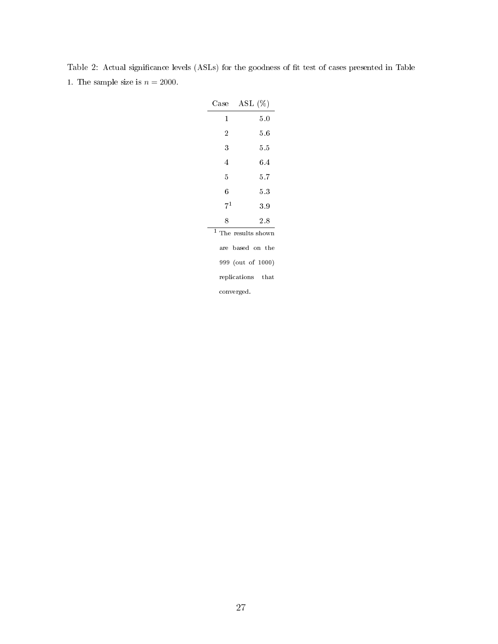| Case                              | $\operatorname{ASL}$ $(\%)$ |  |  |  |  |  |
|-----------------------------------|-----------------------------|--|--|--|--|--|
| 1                                 | 5.0                         |  |  |  |  |  |
| 2                                 | 5.6                         |  |  |  |  |  |
| 3                                 | 5.5                         |  |  |  |  |  |
| 4                                 | 6.4                         |  |  |  |  |  |
| 5                                 | 5.7                         |  |  |  |  |  |
| 6                                 | 5.3                         |  |  |  |  |  |
| $7^{1}$                           | 3.9                         |  |  |  |  |  |
| 8                                 | $2.8\,$                     |  |  |  |  |  |
| $\mathbf{1}$<br>The results shown |                             |  |  |  |  |  |
|                                   | are based on the            |  |  |  |  |  |
|                                   | 999 (out of 1000)           |  |  |  |  |  |
| replications that                 |                             |  |  |  |  |  |
|                                   | converged.                  |  |  |  |  |  |

Table 2: Actual significance levels (ASLs) for the goodness of fit test of cases presented in Table 1. The sample size is  $n = 2000$ .